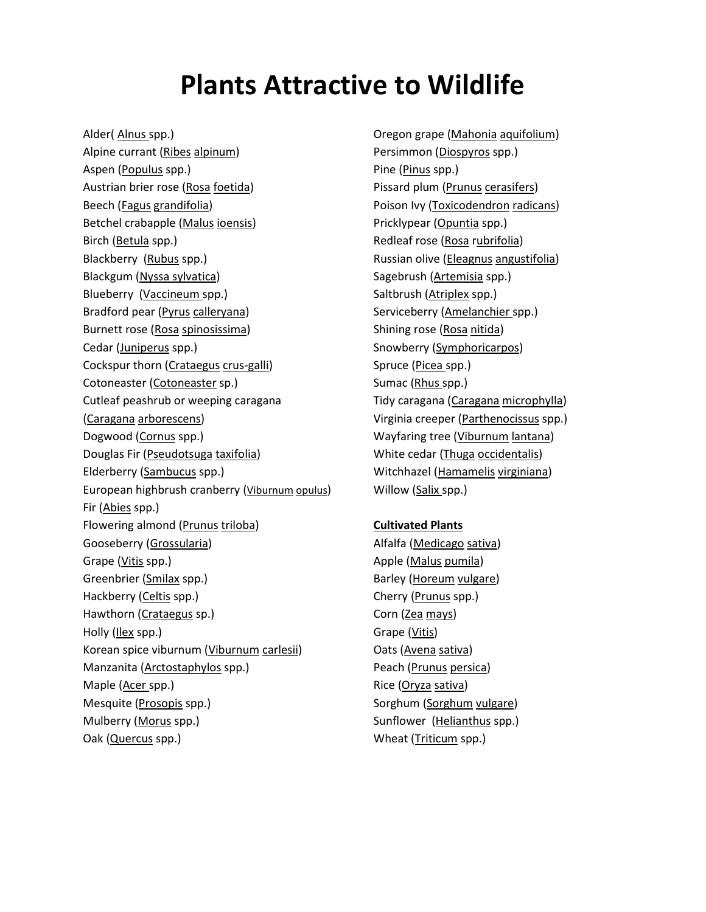## **Plants Attractive to Wildlife**

Alder( Alnus spp.) Alpine currant (Ribes alpinum) Aspen (Populus spp.) Austrian brier rose (Rosa foetida) Beech (Fagus grandifolia) Betchel crabapple (Malus ioensis) Birch (Betula spp.) Blackberry (Rubus spp.) Blackgum (Nyssa sylvatica) Blueberry (Vaccineum spp.) Bradford pear (Pyrus calleryana) Burnett rose (Rosa spinosissima) Cedar (Juniperus spp.) Cockspur thorn (Crataegus crus-galli) Cotoneaster (Cotoneaster sp.) Cutleaf peashrub or weeping caragana (Caragana arborescens) Dogwood (Cornus spp.) Douglas Fir (Pseudotsuga taxifolia) Elderberry (Sambucus spp.) European highbrush cranberry (Viburnum opulus) Fir (Abies spp.) Flowering almond (Prunus triloba) Gooseberry (Grossularia) Grape (Vitis spp.) Greenbrier (Smilax spp.) Hackberry (Celtis spp.) Hawthorn (Crataegus sp.) Holly (Ilex spp.) Korean spice viburnum (Viburnum carlesii) Manzanita (Arctostaphylos spp.) Maple (Acer spp.) Mesquite (Prosopis spp.) Mulberry (Morus spp.) Oak (Quercus spp.)

Oregon grape (Mahonia aquifolium) Persimmon (Diospyros spp.) Pine (Pinus spp.) Pissard plum (Prunus cerasifers) Poison Ivy (Toxicodendron radicans) Pricklypear (Opuntia spp.) Redleaf rose (Rosa rubrifolia) Russian olive (Eleagnus angustifolia) Sagebrush (Artemisia spp.) Saltbrush (Atriplex spp.) Serviceberry (Amelanchier spp.) Shining rose (Rosa nitida) Snowberry (Symphoricarpos) Spruce (Picea spp.) Sumac (Rhus spp.) Tidy caragana (Caragana microphylla) Virginia creeper (Parthenocissus spp.) Wayfaring tree (Viburnum lantana) White cedar (Thuga occidentalis) Witchhazel (Hamamelis virginiana) Willow (Salix spp.)

## **Cultivated Plants**

Alfalfa (Medicago sativa) Apple (Malus pumila) Barley (Horeum vulgare) Cherry (Prunus spp.) Corn (Zea mays) Grape (Vitis) Oats (Avena sativa) Peach (Prunus persica) Rice (Oryza sativa) Sorghum (Sorghum vulgare) Sunflower (Helianthus spp.) Wheat (Triticum spp.)